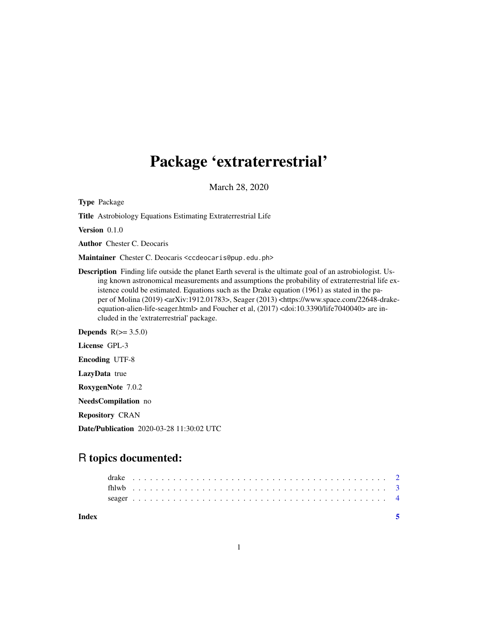## Package 'extraterrestrial'

March 28, 2020

Type Package

Title Astrobiology Equations Estimating Extraterrestrial Life

Version 0.1.0

Author Chester C. Deocaris

Maintainer Chester C. Deocaris <ccdeocaris@pup.edu.ph>

Description Finding life outside the planet Earth several is the ultimate goal of an astrobiologist. Using known astronomical measurements and assumptions the probability of extraterrestrial life existence could be estimated. Equations such as the Drake equation (1961) as stated in the paper of Molina (2019) <arXiv:1912.01783>, Seager (2013) <https://www.space.com/22648-drakeequation-alien-life-seager.html> and Foucher et al, (2017) <doi:10.3390/life7040040> are included in the 'extraterrestrial' package.

Depends  $R(>= 3.5.0)$ 

License GPL-3

Encoding UTF-8

LazyData true

RoxygenNote 7.0.2

NeedsCompilation no

Repository CRAN

Date/Publication 2020-03-28 11:30:02 UTC

### R topics documented:

**Index** [5](#page-4-0). The second state of the second state of the second state of the second state of the second state of the second state of the second state of the second state of the second state of the second state of the second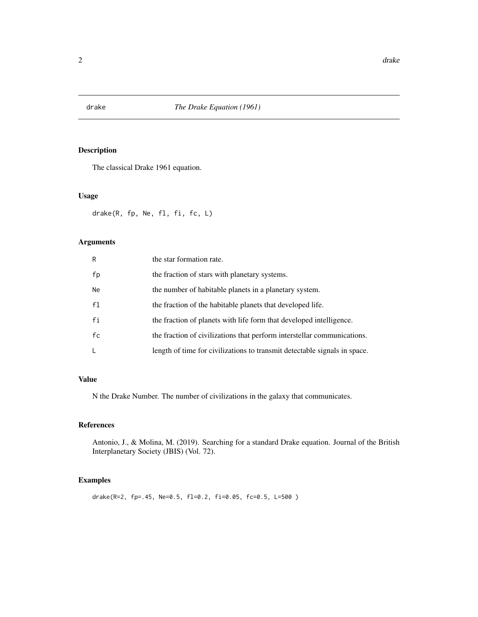<span id="page-1-0"></span>

#### Description

The classical Drake 1961 equation.

#### Usage

drake(R, fp, Ne, fl, fi, fc, L)

#### Arguments

| R              | the star formation rate.                                                  |
|----------------|---------------------------------------------------------------------------|
| fp             | the fraction of stars with planetary systems.                             |
| <b>Ne</b>      | the number of habitable planets in a planetary system.                    |
| f <sub>1</sub> | the fraction of the habitable planets that developed life.                |
| fi             | the fraction of planets with life form that developed intelligence.       |
| fc             | the fraction of civilizations that perform interstellar communications.   |
| L              | length of time for civilizations to transmit detectable signals in space. |

#### Value

N the Drake Number. The number of civilizations in the galaxy that communicates.

#### References

Antonio, J., & Molina, M. (2019). Searching for a standard Drake equation. Journal of the British Interplanetary Society (JBIS) (Vol. 72).

#### Examples

drake(R=2, fp=.45, Ne=0.5, fl=0.2, fi=0.05, fc=0.5, L=500 )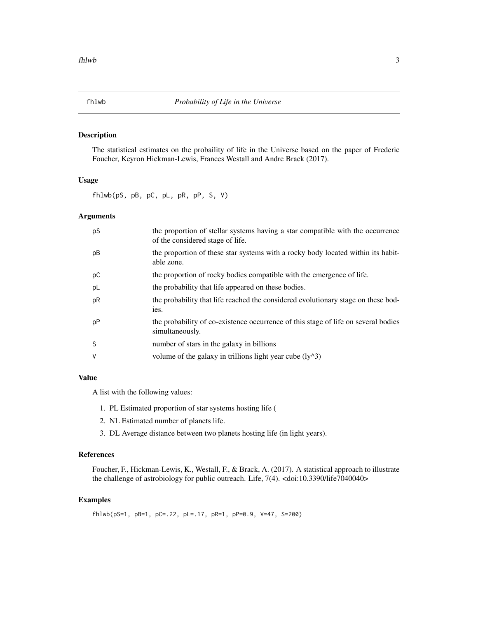<span id="page-2-0"></span>

#### Description

The statistical estimates on the probaility of life in the Universe based on the paper of Frederic Foucher, Keyron Hickman-Lewis, Frances Westall and Andre Brack (2017).

#### Usage

fhlwb(pS, pB, pC, pL, pR, pP, S, V)

#### Arguments

| pS | the proportion of stellar systems having a star compatible with the occurrence<br>of the considered stage of life. |
|----|--------------------------------------------------------------------------------------------------------------------|
| рB | the proportion of these star systems with a rocky body located within its habit-<br>able zone.                     |
| рC | the proportion of rocky bodies compatible with the emergence of life.                                              |
| pL | the probability that life appeared on these bodies.                                                                |
| pR | the probability that life reached the considered evolutionary stage on these bod-<br>ies.                          |
| pP | the probability of co-existence occurrence of this stage of life on several bodies<br>simultaneously.              |
| S  | number of stars in the galaxy in billions                                                                          |
| V  | volume of the galaxy in trillions light year cube $(1y^2)^3$                                                       |

#### Value

A list with the following values:

- 1. PL Estimated proportion of star systems hosting life (
- 2. NL Estimated number of planets life.
- 3. DL Average distance between two planets hosting life (in light years).

#### References

Foucher, F., Hickman-Lewis, K., Westall, F., & Brack, A. (2017). A statistical approach to illustrate the challenge of astrobiology for public outreach. Life, 7(4). <doi:10.3390/life7040040>

#### Examples

fhlwb(pS=1, pB=1, pC=.22, pL=.17, pR=1, pP=0.9, V=47, S=200)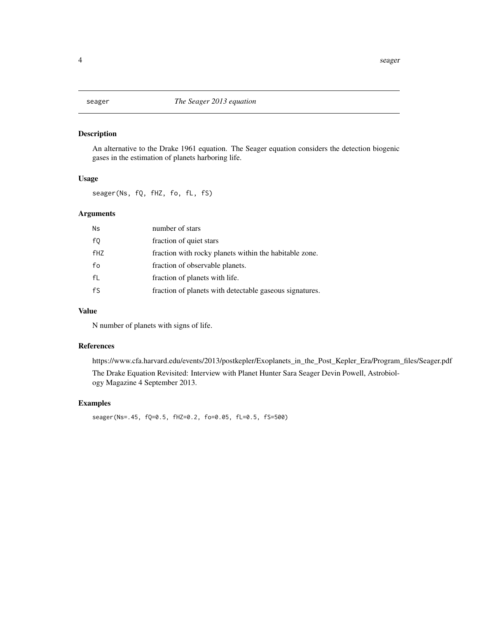#### <span id="page-3-0"></span>Description

An alternative to the Drake 1961 equation. The Seager equation considers the detection biogenic gases in the estimation of planets harboring life.

#### Usage

seager(Ns, fQ, fHZ, fo, fL, fS)

#### Arguments

| Ns         | number of stars                                         |
|------------|---------------------------------------------------------|
| fQ         | fraction of quiet stars                                 |
| <b>fHZ</b> | fraction with rocky planets within the habitable zone.  |
| fo         | fraction of observable planets.                         |
| fL         | fraction of planets with life.                          |
| fS         | fraction of planets with detectable gaseous signatures. |

#### Value

N number of planets with signs of life.

#### References

https://www.cfa.harvard.edu/events/2013/postkepler/Exoplanets\_in\_the\_Post\_Kepler\_Era/Program\_files/Seager.pdf The Drake Equation Revisited: Interview with Planet Hunter Sara Seager Devin Powell, Astrobiology Magazine 4 September 2013.

#### Examples

seager(Ns=.45, fQ=0.5, fHZ=0.2, fo=0.05, fL=0.5, fS=500)